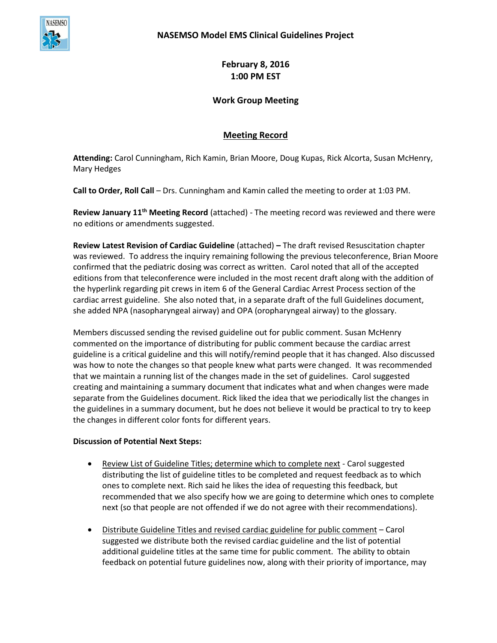

**February 8, 2016 1:00 PM EST**

## **Work Group Meeting**

## **Meeting Record**

**Attending:** Carol Cunningham, Rich Kamin, Brian Moore, Doug Kupas, Rick Alcorta, Susan McHenry, Mary Hedges

**Call to Order, Roll Call** – Drs. Cunningham and Kamin called the meeting to order at 1:03 PM.

**Review January 11th Meeting Record** (attached) - The meeting record was reviewed and there were no editions or amendments suggested.

**Review Latest Revision of Cardiac Guideline** (attached) **–** The draft revised Resuscitation chapter was reviewed. To address the inquiry remaining following the previous teleconference, Brian Moore confirmed that the pediatric dosing was correct as written. Carol noted that all of the accepted editions from that teleconference were included in the most recent draft along with the addition of the hyperlink regarding pit crews in item 6 of the General Cardiac Arrest Process section of the cardiac arrest guideline. She also noted that, in a separate draft of the full Guidelines document, she added NPA (nasopharyngeal airway) and OPA (oropharyngeal airway) to the glossary.

Members discussed sending the revised guideline out for public comment. Susan McHenry commented on the importance of distributing for public comment because the cardiac arrest guideline is a critical guideline and this will notify/remind people that it has changed. Also discussed was how to note the changes so that people knew what parts were changed. It was recommended that we maintain a running list of the changes made in the set of guidelines. Carol suggested creating and maintaining a summary document that indicates what and when changes were made separate from the Guidelines document. Rick liked the idea that we periodically list the changes in the guidelines in a summary document, but he does not believe it would be practical to try to keep the changes in different color fonts for different years.

## **Discussion of Potential Next Steps:**

- Review List of Guideline Titles; determine which to complete next Carol suggested distributing the list of guideline titles to be completed and request feedback as to which ones to complete next. Rich said he likes the idea of requesting this feedback, but recommended that we also specify how we are going to determine which ones to complete next (so that people are not offended if we do not agree with their recommendations).
- Distribute Guideline Titles and revised cardiac guideline for public comment Carol suggested we distribute both the revised cardiac guideline and the list of potential additional guideline titles at the same time for public comment. The ability to obtain feedback on potential future guidelines now, along with their priority of importance, may